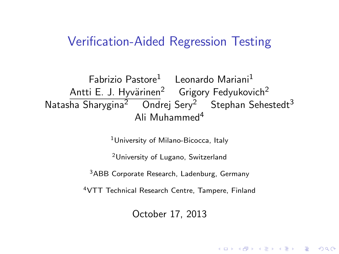#### Verification-Aided Regression Testing

Fabrizio Pastore<sup>1</sup> Leonardo Mariani<sup>1</sup> Antti E. J. Hyvärinen<sup>2</sup> Grigory Fedyukovich<sup>2</sup> Natasha Sharvgina<sup>2</sup> Ondrej Sery<sup>2</sup> Stephan Sehestedt<sup>3</sup> Ali Muhammed<sup>4</sup>

<sup>1</sup>University of Milano-Bicocca, Italy

<sup>2</sup>University of Lugano, Switzerland

<sup>3</sup>ABB Corporate Research, Ladenburg, Germany

<sup>4</sup>VTT Technical Research Centre, Tampere, Finland

October 17, 2013

**KORKAR KERKER EL VOLO**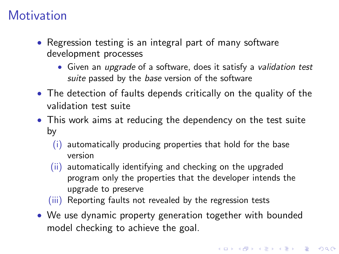### **Motivation**

- Regression testing is an integral part of many software development processes
	- Given an *upgrade* of a software, does it satisfy a *validation test* suite passed by the base version of the software
- The detection of faults depends critically on the quality of the validation test suite
- This work aims at reducing the dependency on the test suite by
	- (i) automatically producing properties that hold for the base version
	- (ii) automatically identifying and checking on the upgraded program only the properties that the developer intends the upgrade to preserve
	- (iii) Reporting faults not revealed by the regression tests
- We use dynamic property generation together with bounded model checking to achieve the goal.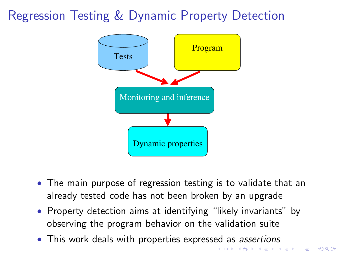### Regression Testing & Dynamic Property Detection



- The main purpose of regression testing is to validate that an already tested code has not been broken by an upgrade
- Property detection aims at identifying "likely invariants" by observing the program behavior on the validation suite
- This work deals with properties expressed as *assertions*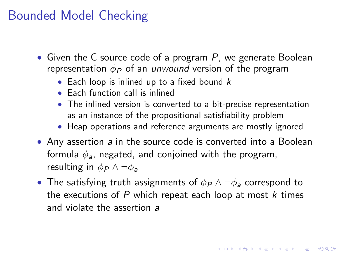### Bounded Model Checking

- Given the C source code of a program  $P$ , we generate Boolean representation  $\phi_P$  of an unwound version of the program
	- Each loop is inlined up to a fixed bound  $k$
	- Each function call is inlined
	- The inlined version is converted to a bit-precise representation as an instance of the propositional satisfiability problem
	- Heap operations and reference arguments are mostly ignored
- Any assertion a in the source code is converted into a Boolean formula  $\phi_a$ , negated, and conjoined with the program, resulting in  $\phi_P \wedge \neg \phi_a$
- The satisfying truth assignments of  $\phi_P \wedge \neg \phi_a$  correspond to the executions of  $P$  which repeat each loop at most  $k$  times and violate the assertion a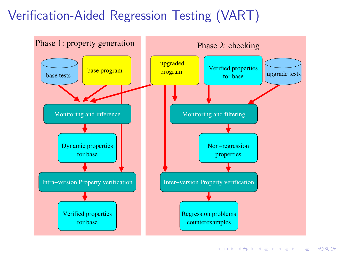# Verification-Aided Regression Testing (VART)

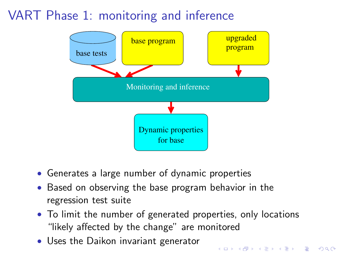# VART Phase 1: monitoring and inference



- Generates a large number of dynamic properties
- Based on observing the base program behavior in the regression test suite
- To limit the number of generated properties, only locations "likely affected by the change" are monitored

**KORKA SERKER ORA** 

• Uses the Daikon invariant generator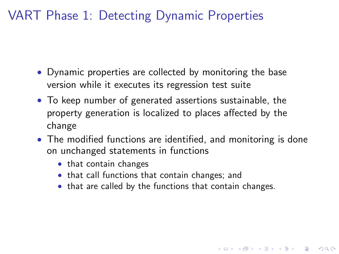### VART Phase 1: Detecting Dynamic Properties

- Dynamic properties are collected by monitoring the base version while it executes its regression test suite
- To keep number of generated assertions sustainable, the property generation is localized to places affected by the change
- The modified functions are identified, and monitoring is done on unchanged statements in functions
	- that contain changes
	- that call functions that contain changes; and
	- that are called by the functions that contain changes.

4 D > 4 P + 4 B + 4 B + B + 9 Q O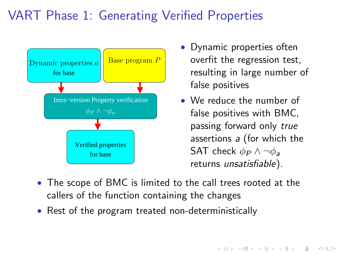# VART Phase 1: Generating Verified Properties



- Dynamic properties often overfit the regression test, resulting in large number of false positives
- We reduce the number of false positives with BMC, passing forward only true assertions a (for which the SAT check  $\phi_P \wedge \neg \phi_a$ returns unsatisfiable).
- The scope of BMC is limited to the call trees rooted at the callers of the function containing the changes
- Rest of the program treated non-deterministically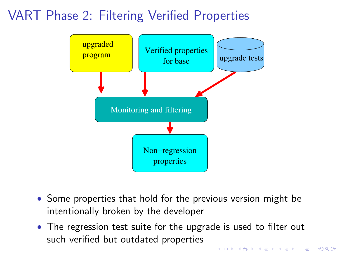# VART Phase 2: Filtering Verified Properties



- Some properties that hold for the previous version might be intentionally broken by the developer
- The regression test suite for the upgrade is used to filter out such verified but outdated properties**K ロ ▶ K @ ▶ K 할 X X 할 X → 할 X → 9 Q Q ^**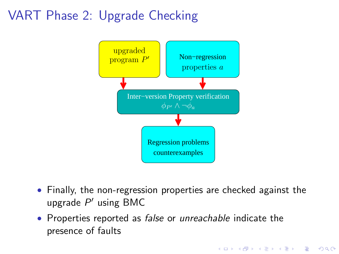# VART Phase 2: Upgrade Checking



• Finally, the non-regression properties are checked against the upgrade  $P'$  using BMC

**KORKA SERKER ORA** 

• Properties reported as *false* or *unreachable* indicate the presence of faults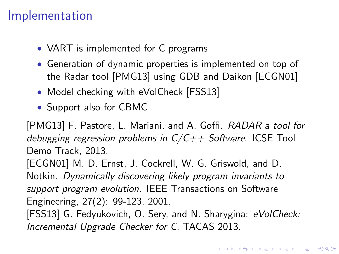#### Implementation

- VART is implemented for C programs
- Generation of dynamic properties is implemented on top of the Radar tool [PMG13] using GDB and Daikon [ECGN01]
- Model checking with eVolCheck [FSS13]
- Support also for CBMC

[PMG13] F. Pastore, L. Mariani, and A. Goffi. RADAR a tool for debugging regression problems in  $C/C++$  Software. ICSE Tool Demo Track, 2013. [ECGN01] M. D. Ernst, J. Cockrell, W. G. Griswold, and D. Notkin. Dynamically discovering likely program invariants to support program evolution. IEEE Transactions on Software Engineering, 27(2): 99-123, 2001. [FSS13] G. Fedyukovich, O. Sery, and N. Sharygina: eVolCheck: Incremental Upgrade Checker for C. TACAS 2013.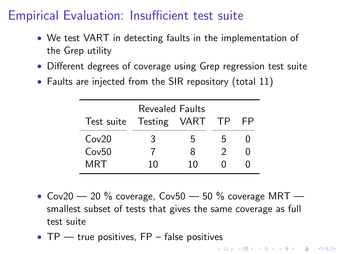### Empirical Evaluation: Insufficient test suite

- We test VART in detecting faults in the implementation of the Grep utility
- Different degrees of coverage using Grep regression test suite
- Faults are injected from the SIR repository (total 11)

| Revealed Faults |              |    |      |    |  |  |  |  |
|-----------------|--------------|----|------|----|--|--|--|--|
| Test suite      | Testing VART |    | - TP | FР |  |  |  |  |
| Cov20           | 3            | h  | h    |    |  |  |  |  |
| Cov50           |              | 8  | ာ    |    |  |  |  |  |
| MRT             | 10           | 10 |      |    |  |  |  |  |

- Cov20  $-$  20 % coverage, Cov50  $-$  50 % coverage MRT  $$ smallest subset of tests that gives the same coverage as full test suite
- TP true positives, FP false positives<br>• Example 2008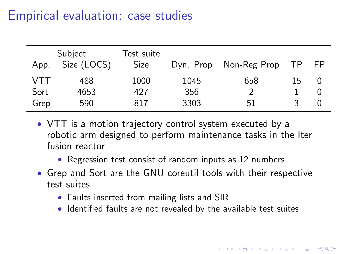### Empirical evaluation: case studies

| App. | Subject<br>Size (LOCS) | Test suite<br><b>Size</b> | Dyn. Prop | Non-Reg Prop | TP. | - FP |
|------|------------------------|---------------------------|-----------|--------------|-----|------|
| VTT  | 488                    | 1000                      | 1045      | 658          | 15  |      |
| Sort | 4653                   | 427                       | 356       |              |     | U    |
| Grep | 590                    | 817                       | 3303      | 51           |     |      |

- VTT is a motion trajectory control system executed by a robotic arm designed to perform maintenance tasks in the Iter fusion reactor
	- Regression test consist of random inputs as 12 numbers
- Grep and Sort are the GNU coreutil tools with their respective test suites
	- Faults inserted from mailing lists and SIR
	- Identified faults are not revealed by the available test suites

**KORKA SERKER ORA**